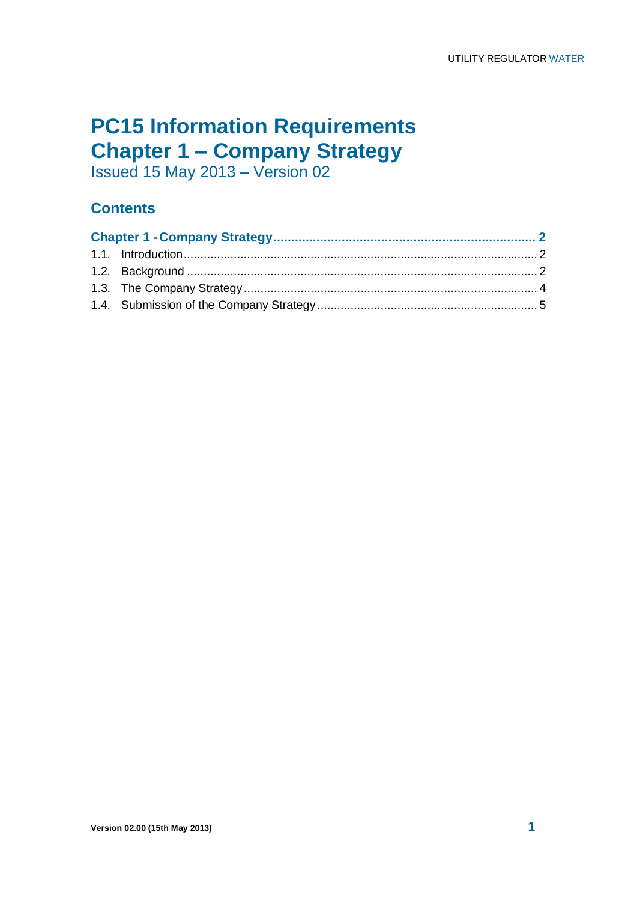# **PC15 Information Requirements Chapter 1 – Company Strategy**

Issued 15 May 2013 – Version 02

## **Contents**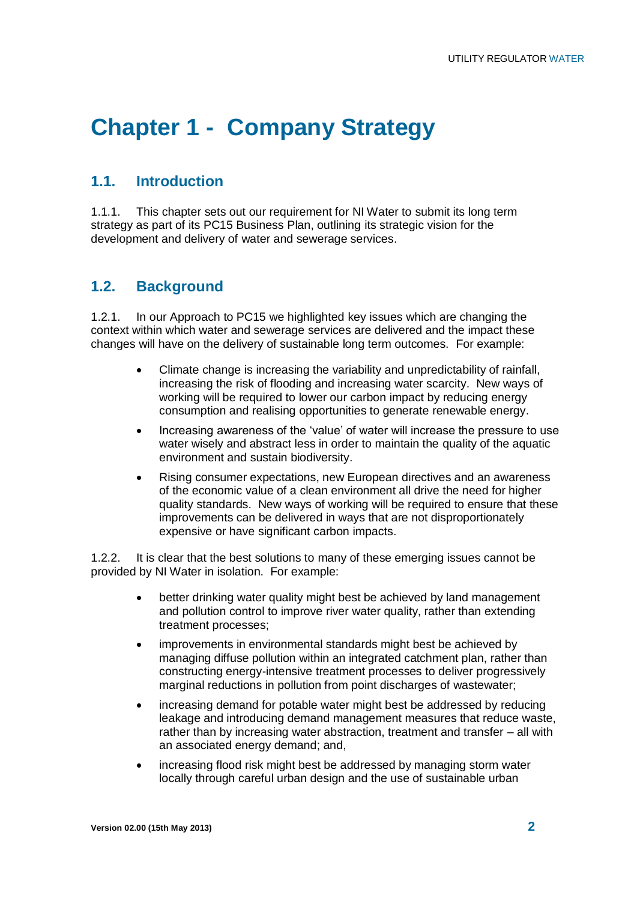# **Chapter 1 - Company Strategy**

#### **1.1. Introduction**

1.1.1. This chapter sets out our requirement for NI Water to submit its long term strategy as part of its PC15 Business Plan, outlining its strategic vision for the development and delivery of water and sewerage services.

#### **1.2. Background**

1.2.1. In our Approach to PC15 we highlighted key issues which are changing the context within which water and sewerage services are delivered and the impact these changes will have on the delivery of sustainable long term outcomes. For example:

- Climate change is increasing the variability and unpredictability of rainfall, increasing the risk of flooding and increasing water scarcity. New ways of working will be required to lower our carbon impact by reducing energy consumption and realising opportunities to generate renewable energy.
- Increasing awareness of the 'value' of water will increase the pressure to use water wisely and abstract less in order to maintain the quality of the aquatic environment and sustain biodiversity.
- Rising consumer expectations, new European directives and an awareness of the economic value of a clean environment all drive the need for higher quality standards. New ways of working will be required to ensure that these improvements can be delivered in ways that are not disproportionately expensive or have significant carbon impacts.

1.2.2. It is clear that the best solutions to many of these emerging issues cannot be provided by NI Water in isolation. For example:

- better drinking water quality might best be achieved by land management and pollution control to improve river water quality, rather than extending treatment processes;
- improvements in environmental standards might best be achieved by managing diffuse pollution within an integrated catchment plan, rather than constructing energy-intensive treatment processes to deliver progressively marginal reductions in pollution from point discharges of wastewater;
- increasing demand for potable water might best be addressed by reducing leakage and introducing demand management measures that reduce waste, rather than by increasing water abstraction, treatment and transfer – all with an associated energy demand; and,
- increasing flood risk might best be addressed by managing storm water locally through careful urban design and the use of sustainable urban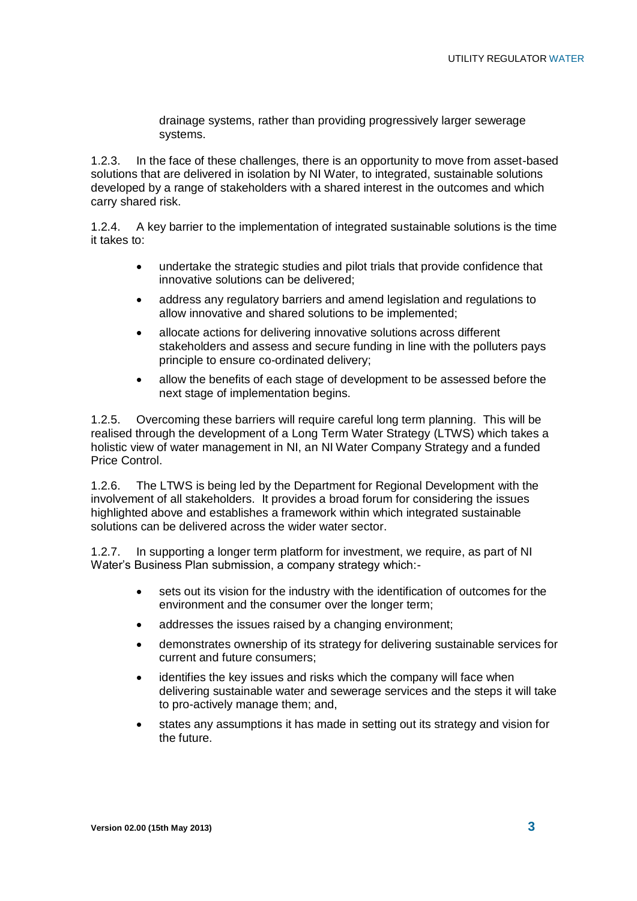drainage systems, rather than providing progressively larger sewerage systems.

1.2.3. In the face of these challenges, there is an opportunity to move from asset-based solutions that are delivered in isolation by NI Water, to integrated, sustainable solutions developed by a range of stakeholders with a shared interest in the outcomes and which carry shared risk.

1.2.4. A key barrier to the implementation of integrated sustainable solutions is the time it takes to:

- undertake the strategic studies and pilot trials that provide confidence that innovative solutions can be delivered;
- address any regulatory barriers and amend legislation and regulations to allow innovative and shared solutions to be implemented;
- allocate actions for delivering innovative solutions across different stakeholders and assess and secure funding in line with the polluters pays principle to ensure co-ordinated delivery;
- allow the benefits of each stage of development to be assessed before the next stage of implementation begins.

1.2.5. Overcoming these barriers will require careful long term planning. This will be realised through the development of a Long Term Water Strategy (LTWS) which takes a holistic view of water management in NI, an NI Water Company Strategy and a funded Price Control.

1.2.6. The LTWS is being led by the Department for Regional Development with the involvement of all stakeholders. It provides a broad forum for considering the issues highlighted above and establishes a framework within which integrated sustainable solutions can be delivered across the wider water sector.

1.2.7. In supporting a longer term platform for investment, we require, as part of NI Water's Business Plan submission, a company strategy which:-

- sets out its vision for the industry with the identification of outcomes for the environment and the consumer over the longer term;
- addresses the issues raised by a changing environment;
- demonstrates ownership of its strategy for delivering sustainable services for current and future consumers;
- identifies the key issues and risks which the company will face when delivering sustainable water and sewerage services and the steps it will take to pro-actively manage them; and,
- states any assumptions it has made in setting out its strategy and vision for the future.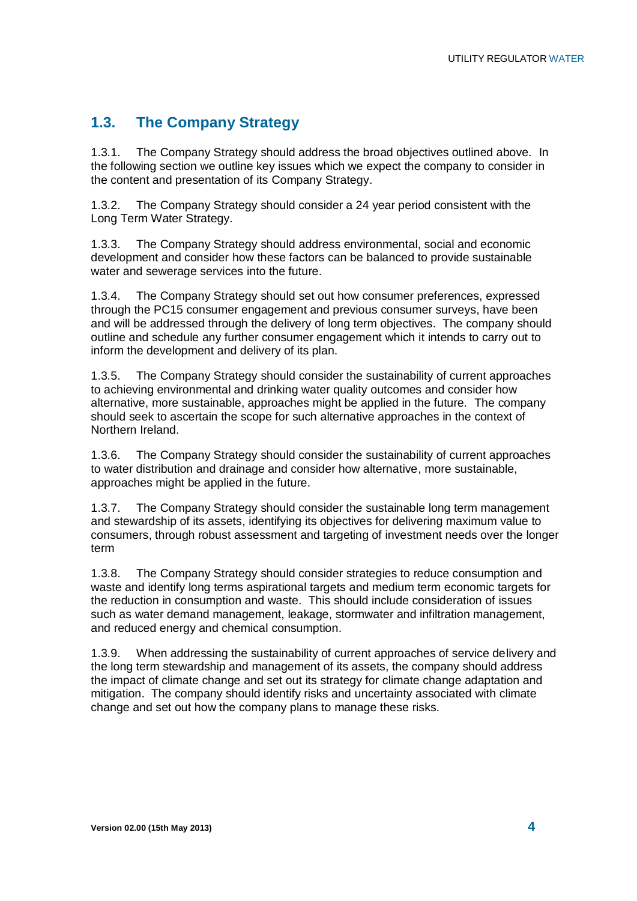## **1.3. The Company Strategy**

1.3.1. The Company Strategy should address the broad objectives outlined above. In the following section we outline key issues which we expect the company to consider in the content and presentation of its Company Strategy.

1.3.2. The Company Strategy should consider a 24 year period consistent with the Long Term Water Strategy.

1.3.3. The Company Strategy should address environmental, social and economic development and consider how these factors can be balanced to provide sustainable water and sewerage services into the future.

1.3.4. The Company Strategy should set out how consumer preferences, expressed through the PC15 consumer engagement and previous consumer surveys, have been and will be addressed through the delivery of long term objectives. The company should outline and schedule any further consumer engagement which it intends to carry out to inform the development and delivery of its plan.

1.3.5. The Company Strategy should consider the sustainability of current approaches to achieving environmental and drinking water quality outcomes and consider how alternative, more sustainable, approaches might be applied in the future. The company should seek to ascertain the scope for such alternative approaches in the context of Northern Ireland.

1.3.6. The Company Strategy should consider the sustainability of current approaches to water distribution and drainage and consider how alternative, more sustainable, approaches might be applied in the future.

1.3.7. The Company Strategy should consider the sustainable long term management and stewardship of its assets, identifying its objectives for delivering maximum value to consumers, through robust assessment and targeting of investment needs over the longer term

1.3.8. The Company Strategy should consider strategies to reduce consumption and waste and identify long terms aspirational targets and medium term economic targets for the reduction in consumption and waste. This should include consideration of issues such as water demand management, leakage, stormwater and infiltration management, and reduced energy and chemical consumption.

1.3.9. When addressing the sustainability of current approaches of service delivery and the long term stewardship and management of its assets, the company should address the impact of climate change and set out its strategy for climate change adaptation and mitigation. The company should identify risks and uncertainty associated with climate change and set out how the company plans to manage these risks.